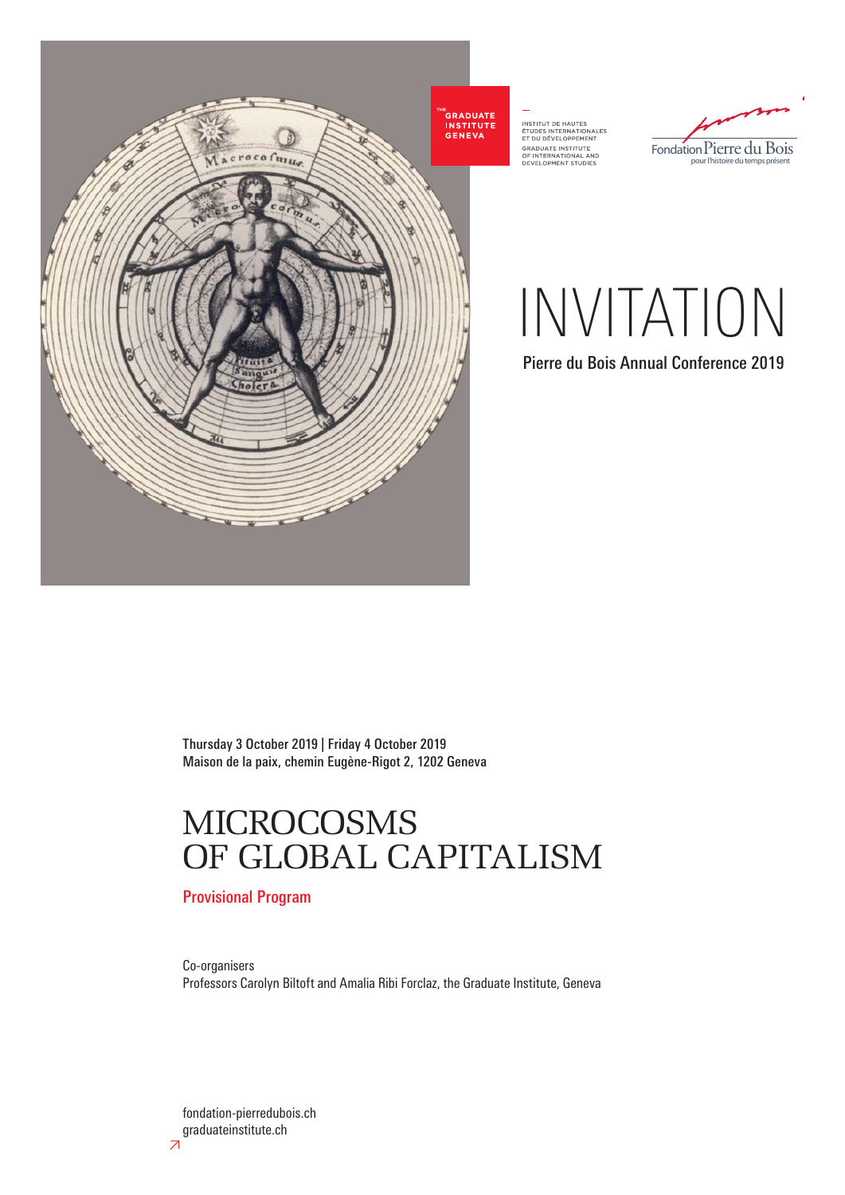

INSTITUT DE HAUTES<br>ÉTUDES INTERNATIONALES<br>ET DU DÉVELOPPEMENT<br>GRADUATE INSTITUTE<br>OF INTERNATIONAL AND<br>DEVELOPMENT STUDIES



INVITATION

Pierre du Bois Annual Conference 2019

Thursday 3 October 2019 | Friday 4 October 2019 Maison de la paix, chemin Eugène-Rigot 2, 1202 Geneva

## MICROCOSMS OF GLOBAL CAPITALISM

Provisional Program

Co-organisers Professors Carolyn Biltoft and Amalia Ribi Forclaz, the Graduate Institute, Geneva

fondation-pierredubois.ch graduateinstitute.ch